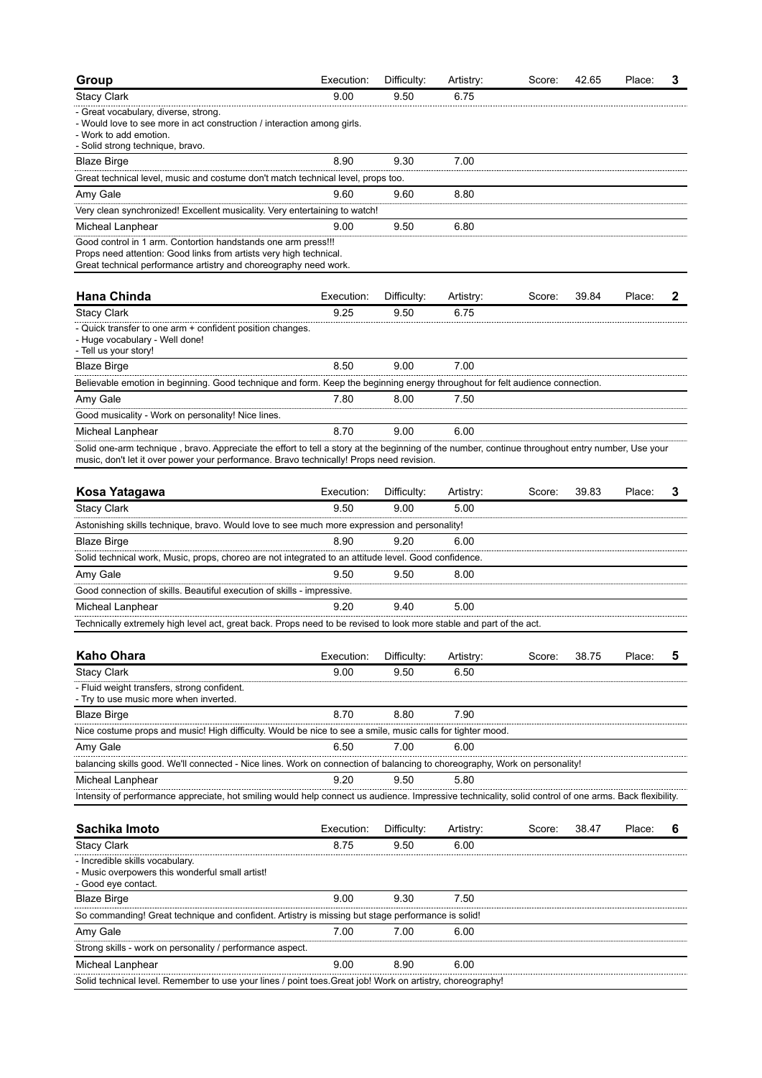| Group                                                                                                                                                                                                                                        | Execution: | Difficulty: | Artistry: | Score: | 42.65 | Place: | 3 |
|----------------------------------------------------------------------------------------------------------------------------------------------------------------------------------------------------------------------------------------------|------------|-------------|-----------|--------|-------|--------|---|
| <b>Stacy Clark</b>                                                                                                                                                                                                                           | 9.00       | 9.50        | 6.75      |        |       |        |   |
| - Great vocabulary, diverse, strong.<br>- Would love to see more in act construction / interaction among girls.<br>- Work to add emotion.<br>- Solid strong technique, bravo.                                                                |            |             |           |        |       |        |   |
| <b>Blaze Birge</b>                                                                                                                                                                                                                           | 8.90       | 9.30        | 7.00      |        |       |        |   |
| Great technical level, music and costume don't match technical level, props too.                                                                                                                                                             |            |             |           |        |       |        |   |
| Amy Gale                                                                                                                                                                                                                                     | 9.60       | 9.60        | 8.80      |        |       |        |   |
| Very clean synchronized! Excellent musicality. Very entertaining to watch!                                                                                                                                                                   |            |             |           |        |       |        |   |
| Micheal Lanphear                                                                                                                                                                                                                             | 9.00       | 9.50        | 6.80      |        |       |        |   |
| Good control in 1 arm. Contortion handstands one arm press!!!<br>Props need attention: Good links from artists very high technical.<br>Great technical performance artistry and choreography need work.                                      |            |             |           |        |       |        |   |
| <b>Hana Chinda</b>                                                                                                                                                                                                                           | Execution: | Difficulty: | Artistry: | Score: | 39.84 | Place: | 2 |
| <b>Stacy Clark</b>                                                                                                                                                                                                                           | 9.25       | 9.50        | 6.75      |        |       |        |   |
| - Quick transfer to one arm + confident position changes.<br>- Huge vocabulary - Well done!<br>- Tell us your story!                                                                                                                         |            |             |           |        |       |        |   |
| <b>Blaze Birge</b>                                                                                                                                                                                                                           | 8.50       | 9.00        | 7.00      |        |       |        |   |
| Believable emotion in beginning. Good technique and form. Keep the beginning energy throughout for felt audience connection                                                                                                                  |            |             |           |        |       |        |   |
| Amy Gale                                                                                                                                                                                                                                     | 7.80       | 8.00        | 7.50      |        |       |        |   |
| Good musicality - Work on personality! Nice lines.                                                                                                                                                                                           |            |             |           |        |       |        |   |
| Micheal Lanphear                                                                                                                                                                                                                             | 8.70       | 9.00        | 6.00      |        |       |        |   |
| Solid one-arm technique, bravo. Appreciate the effort to tell a story at the beginning of the number, continue throughout entry number, Use your<br>music, don't let it over power your performance. Bravo technically! Props need revision. |            |             |           |        |       |        |   |
| Kosa Yatagawa                                                                                                                                                                                                                                | Execution: | Difficulty: | Artistry: | Score: | 39.83 | Place: | 3 |
| <b>Stacy Clark</b>                                                                                                                                                                                                                           | 9.50       | 9.00        | 5.00      |        |       |        |   |
| Astonishing skills technique, bravo. Would love to see much more expression and personality!                                                                                                                                                 |            |             |           |        |       |        |   |
| <b>Blaze Birge</b>                                                                                                                                                                                                                           | 8.90       | 9.20        | 6.00      |        |       |        |   |
| Solid technical work, Music, props, choreo are not integrated to an attitude level. Good confidence.                                                                                                                                         |            |             |           |        |       |        |   |
| Amy Gale                                                                                                                                                                                                                                     | 9.50       | 9.50        | 8.00      |        |       |        |   |
| Good connection of skills. Beautiful execution of skills - impressive.                                                                                                                                                                       |            |             |           |        |       |        |   |
| Micheal Lanphear                                                                                                                                                                                                                             | 9.20       | 9.40        | 5.00      |        |       |        |   |
| Technically extremely high level act, great back. Props need to be revised to look more stable and part of the act.                                                                                                                          |            |             |           |        |       |        |   |
| <b>Kaho Ohara</b>                                                                                                                                                                                                                            | Execution: | Difficulty: | Artistry: | Score: | 38.75 | Place: | 5 |
| <b>Stacy Clark</b>                                                                                                                                                                                                                           | 9.00       | 9.50        | 6.50      |        |       |        |   |
| - Fluid weight transfers, strong confident.<br>- Try to use music more when inverted.                                                                                                                                                        |            |             |           |        |       |        |   |
| <b>Blaze Birge</b>                                                                                                                                                                                                                           | 8.70       | 8.80        | 7.90      |        |       |        |   |
| Nice costume props and music! High difficulty. Would be nice to see a smile, music calls for tighter mood                                                                                                                                    |            |             |           |        |       |        |   |
| Amy Gale                                                                                                                                                                                                                                     | 6.50       | 7.00        | 6.00      |        |       |        |   |
| balancing skills good. We'll connected - Nice lines. Work on connection of balancing to choreography, Work on personality!                                                                                                                   |            |             |           |        |       |        |   |
| Micheal Lanphear                                                                                                                                                                                                                             | 9.20       | 9.50        | 5.80      |        |       |        |   |
| Intensity of performance appreciate, hot smiling would help connect us audience. Impressive technicality, solid control of one arms. Back flexibility.                                                                                       |            |             |           |        |       |        |   |
|                                                                                                                                                                                                                                              |            |             |           |        |       |        |   |
| Sachika Imoto                                                                                                                                                                                                                                | Execution: | Difficulty: | Artistry: | Score: | 38.47 | Place: | 6 |
| <b>Stacy Clark</b>                                                                                                                                                                                                                           | 8.75       | 9.50        | 6.00      |        |       |        |   |
| - Incredible skills vocabulary.<br>- Music overpowers this wonderful small artist!<br>- Good eye contact.                                                                                                                                    |            |             |           |        |       |        |   |
| <b>Blaze Birge</b>                                                                                                                                                                                                                           | 9.00       | 9.30        | 7.50      |        |       |        |   |
| So commanding! Great technique and confident. Artistry is missing but stage performance is solid!                                                                                                                                            |            |             |           |        |       |        |   |
| Amy Gale                                                                                                                                                                                                                                     | 7.00       | 7.00        | 6.00      |        |       |        |   |
| Strong skills - work on personality / performance aspect.                                                                                                                                                                                    |            |             |           |        |       |        |   |
| Micheal Lanphear                                                                                                                                                                                                                             | 9.00       | 8.90        | 6.00      |        |       |        |   |
| Solid technical level. Remember to use your lines / point toes. Great job! Work on artistry, choreography!                                                                                                                                   |            |             |           |        |       |        |   |